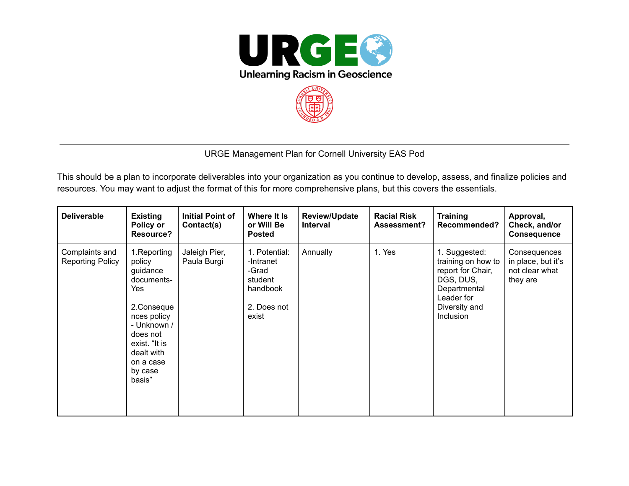



## URGE Management Plan for Cornell University EAS Pod

This should be a plan to incorporate deliverables into your organization as you continue to develop, assess, and finalize policies and resources. You may want to adjust the format of this for more comprehensive plans, but this covers the essentials.

| <b>Deliverable</b>                        | <b>Existing</b><br>Policy or<br><b>Resource?</b>                                                                                                                                 | <b>Initial Point of</b><br>Contact(s) | Where It Is<br>or Will Be<br><b>Posted</b>                                         | <b>Review/Update</b><br><b>Interval</b> | <b>Racial Risk</b><br><b>Assessment?</b> | <b>Training</b><br>Recommended?                                                                                                   | Approval,<br>Check, and/or<br><b>Consequence</b>                 |
|-------------------------------------------|----------------------------------------------------------------------------------------------------------------------------------------------------------------------------------|---------------------------------------|------------------------------------------------------------------------------------|-----------------------------------------|------------------------------------------|-----------------------------------------------------------------------------------------------------------------------------------|------------------------------------------------------------------|
| Complaints and<br><b>Reporting Policy</b> | 1. Reporting<br>policy<br>guidance<br>documents-<br>Yes<br>2.Conseque<br>nces policy<br>- Unknown /<br>does not<br>exist. "It is<br>dealt with<br>on a case<br>by case<br>basis" | Jaleigh Pier,<br>Paula Burgi          | 1. Potential:<br>-Intranet<br>-Grad<br>student<br>handbook<br>2. Does not<br>exist | Annually                                | 1. Yes                                   | 1. Suggested:<br>training on how to<br>report for Chair,<br>DGS, DUS,<br>Departmental<br>Leader for<br>Diversity and<br>Inclusion | Consequences<br>in place, but it's<br>not clear what<br>they are |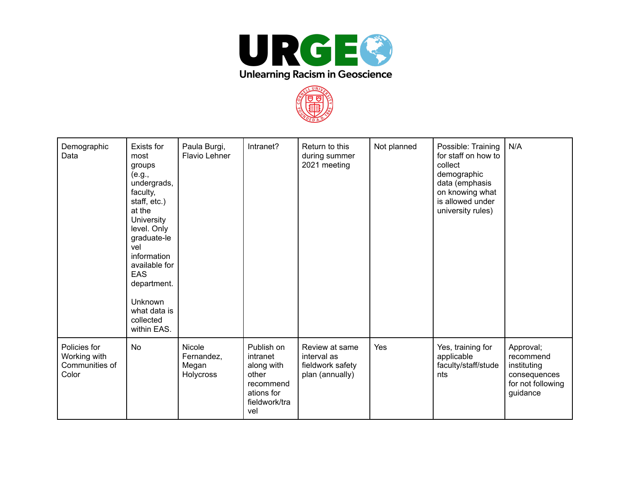



| Demographic<br>Data                                     | Exists for<br>most<br>groups<br>(e.g.,<br>undergrads,<br>faculty,<br>staff, etc.)<br>at the<br><b>University</b><br>level. Only<br>graduate-le<br>vel<br>information<br>available for<br><b>EAS</b><br>department.<br><b>Unknown</b><br>what data is<br>collected<br>within EAS. | Paula Burgi,<br>Flavio Lehner              | Intranet?                                                                                        | Return to this<br>during summer<br>2021 meeting                      | Not planned | Possible: Training<br>for staff on how to<br>collect<br>demographic<br>data (emphasis<br>on knowing what<br>is allowed under<br>university rules) | N/A                                                                                    |
|---------------------------------------------------------|----------------------------------------------------------------------------------------------------------------------------------------------------------------------------------------------------------------------------------------------------------------------------------|--------------------------------------------|--------------------------------------------------------------------------------------------------|----------------------------------------------------------------------|-------------|---------------------------------------------------------------------------------------------------------------------------------------------------|----------------------------------------------------------------------------------------|
| Policies for<br>Working with<br>Communities of<br>Color | <b>No</b>                                                                                                                                                                                                                                                                        | Nicole<br>Fernandez,<br>Megan<br>Holycross | Publish on<br>intranet<br>along with<br>other<br>recommend<br>ations for<br>fieldwork/tra<br>vel | Review at same<br>interval as<br>fieldwork safety<br>plan (annually) | Yes         | Yes, training for<br>applicable<br>faculty/staff/stude<br>nts                                                                                     | Approval;<br>recommend<br>instituting<br>consequences<br>for not following<br>guidance |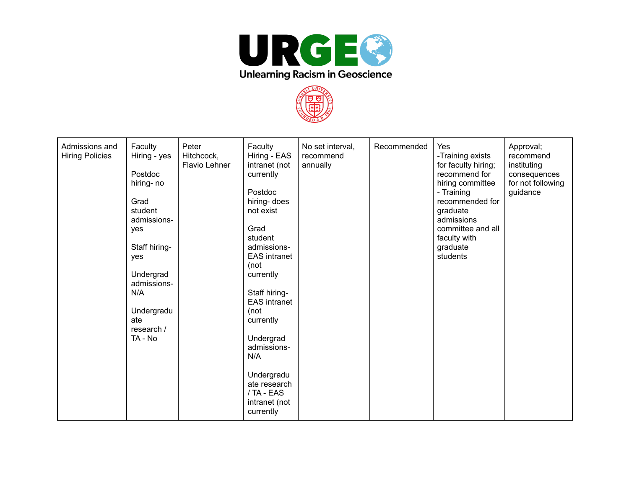



| Admissions and<br><b>Hiring Policies</b> | Faculty<br>Hiring - yes<br>Postdoc<br>hiring-no<br>Grad<br>student<br>admissions-<br>yes<br>Staff hiring-<br>yes<br>Undergrad<br>admissions-<br>N/A<br>Undergradu<br>ate<br>research /<br>TA - No | Peter<br>Hitchcock,<br>Flavio Lehner | Faculty<br>Hiring - EAS<br>intranet (not<br>currently<br>Postdoc<br>hiring- does<br>not exist<br>Grad<br>student<br>admissions-<br><b>EAS</b> intranet<br>(not<br>currently<br>Staff hiring-<br><b>EAS</b> intranet<br>(not<br>currently<br>Undergrad<br>admissions-<br>N/A<br>Undergradu<br>ate research<br>/ TA - EAS<br>intranet (not<br>currently | No set interval,<br>recommend<br>annually | Recommended | Yes<br>-Training exists<br>for faculty hiring;<br>recommend for<br>hiring committee<br>- Training<br>recommended for<br>graduate<br>admissions<br>committee and all<br>faculty with<br>graduate<br>students | Approval;<br>recommend<br>instituting<br>consequences<br>for not following<br>guidance |
|------------------------------------------|---------------------------------------------------------------------------------------------------------------------------------------------------------------------------------------------------|--------------------------------------|-------------------------------------------------------------------------------------------------------------------------------------------------------------------------------------------------------------------------------------------------------------------------------------------------------------------------------------------------------|-------------------------------------------|-------------|-------------------------------------------------------------------------------------------------------------------------------------------------------------------------------------------------------------|----------------------------------------------------------------------------------------|
|------------------------------------------|---------------------------------------------------------------------------------------------------------------------------------------------------------------------------------------------------|--------------------------------------|-------------------------------------------------------------------------------------------------------------------------------------------------------------------------------------------------------------------------------------------------------------------------------------------------------------------------------------------------------|-------------------------------------------|-------------|-------------------------------------------------------------------------------------------------------------------------------------------------------------------------------------------------------------|----------------------------------------------------------------------------------------|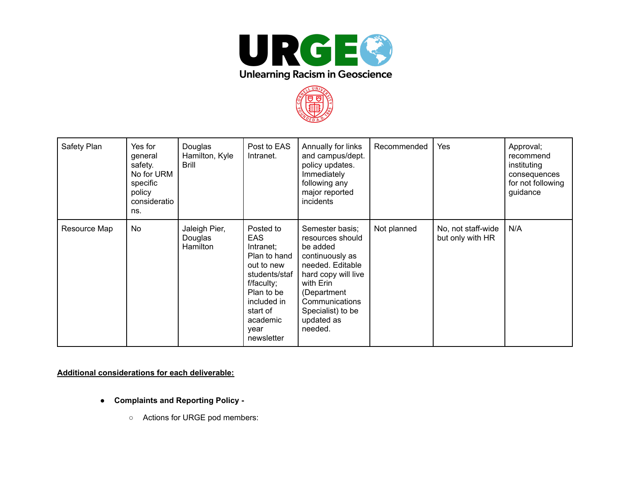



| Safety Plan  | Yes for<br>general<br>safety.<br>No for URM<br>specific<br>policy<br>consideratio<br>ns. | Douglas<br>Hamilton, Kyle<br><b>Brill</b> | Post to EAS<br>Intranet.                                                                                                                                                     | Annually for links<br>and campus/dept.<br>policy updates.<br>Immediately<br>following any<br>major reported<br>incidents                                                                                  | Recommended | Yes                                    | Approval;<br>recommend<br>instituting<br>consequences<br>for not following<br>guidance |
|--------------|------------------------------------------------------------------------------------------|-------------------------------------------|------------------------------------------------------------------------------------------------------------------------------------------------------------------------------|-----------------------------------------------------------------------------------------------------------------------------------------------------------------------------------------------------------|-------------|----------------------------------------|----------------------------------------------------------------------------------------|
| Resource Map | No                                                                                       | Jaleigh Pier,<br>Douglas<br>Hamilton      | Posted to<br><b>EAS</b><br>Intranet;<br>Plan to hand<br>out to new<br>students/staf<br>f/faculty;<br>Plan to be<br>included in<br>start of<br>academic<br>year<br>newsletter | Semester basis;<br>resources should<br>be added<br>continuously as<br>needed. Editable<br>hard copy will live<br>with Erin<br>(Department<br>Communications<br>Specialist) to be<br>updated as<br>needed. | Not planned | No, not staff-wide<br>but only with HR | N/A                                                                                    |

## **Additional considerations for each deliverable:**

- **Complaints and Reporting Policy -**
	- **○** Actions for URGE pod members: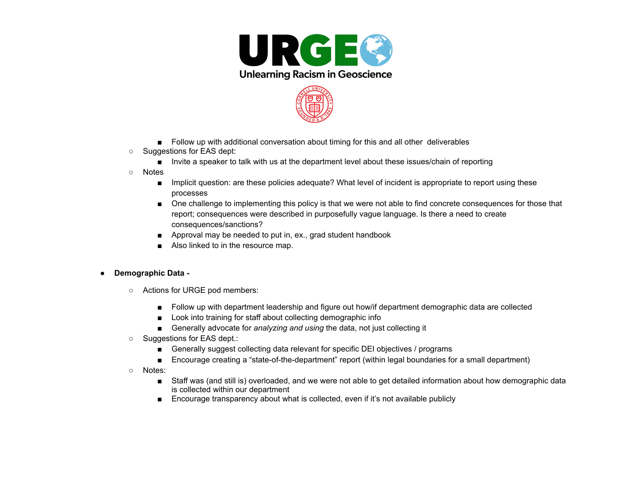



- Follow up with additional conversation about timing for this and all other deliverables
- Suggestions for EAS dept:
	- Invite a speaker to talk with us at the department level about these issues/chain of reporting
- Notes
	- Implicit question: are these policies adequate? What level of incident is appropriate to report using these processes
	- One challenge to implementing this policy is that we were not able to find concrete consequences for those that report; consequences were described in purposefully vague language. Is there a need to create consequences/sanctions?
	- Approval may be needed to put in, ex., grad student handbook
	- Also linked to in the resource map.

## **● Demographic Data -**

- **○** Actions for URGE pod members:
	- Follow up with department leadership and figure out how/if department demographic data are collected
	- Look into training for staff about collecting demographic info
	- Generally advocate for *analyzing and using* the data, not just collecting it
- Suggestions for EAS dept.:
	- Generally suggest collecting data relevant for specific DEI objectives / programs
	- Encourage creating a "state-of-the-department" report (within legal boundaries for a small department)
- Notes:
	- Staff was (and still is) overloaded, and we were not able to get detailed information about how demographic data is collected within our department
	- Encourage transparency about what is collected, even if it's not available publicly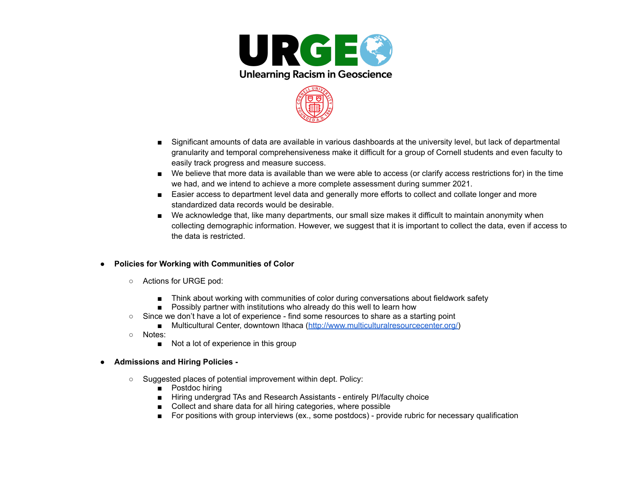



- Significant amounts of data are available in various dashboards at the university level, but lack of departmental granularity and temporal comprehensiveness make it difficult for a group of Cornell students and even faculty to easily track progress and measure success.
- We believe that more data is available than we were able to access (or clarify access restrictions for) in the time we had, and we intend to achieve a more complete assessment during summer 2021.
- Easier access to department level data and generally more efforts to collect and collate longer and more standardized data records would be desirable.
- We acknowledge that, like many departments, our small size makes it difficult to maintain anonymity when collecting demographic information. However, we suggest that it is important to collect the data, even if access to the data is restricted.
- **● Policies for Working with Communities of Color**
	- **○** Actions for URGE pod:
		- Think about working with communities of color during conversations about fieldwork safety
		- Possibly partner with institutions who already do this well to learn how
	- Since we don't have a lot of experience find some resources to share as a starting point
		- Multicultural Center, downtown Ithaca [\(http://www.multiculturalresourcecenter.org/\)](http://www.multiculturalresourcecenter.org/)
	- Notes:
		- Not a lot of experience in this group
- **● Admissions and Hiring Policies -**
	- Suggested places of potential improvement within dept. Policy:
		- Postdoc hiring
		- Hiring undergrad TAs and Research Assistants entirely Pl/faculty choice
		- Collect and share data for all hiring categories, where possible
		- For positions with group interviews (ex., some postdocs) provide rubric for necessary qualification